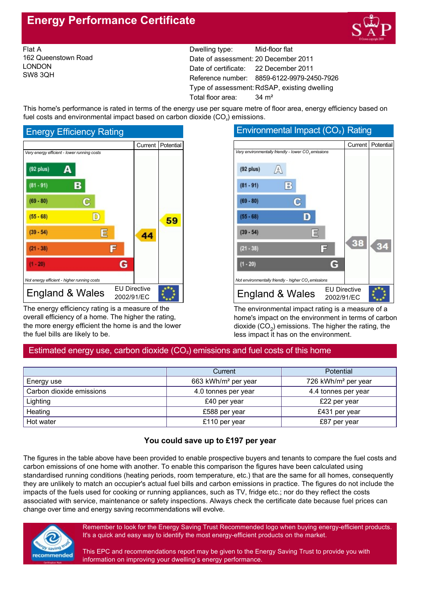# **Energy Performance Certificate**



Flat A 162 Queenstown Road LONDON SW8 3QH

Dwelling type: Mid-floor flat Date of assessment: 20 December 2011 Date of certificate: 22 December 2011 Reference number: 8859-6122-9979-2450-7926 Type of assessment: RdSAP, existing dwelling Total floor area: 34 m²

This home's performance is rated in terms of the energy use per square metre of floor area, energy efficiency based on fuel costs and environmental impact based on carbon dioxide  $(CO<sub>2</sub>)$  emissions.



The energy efficiency rating is a measure of the overall efficiency of a home. The higher the rating, the more energy efficient the home is and the lower the fuel bills are likely to be.

#### Environmental Impact (CO<sub>2</sub>) Rating Current | Potential *Very environmentally friendly lower CO<sup>²</sup> emissions*  $(92$  plus) А  $\mathbb{B}$  $(81 - 91)$  $(69 - 80)$ C  $(55 - 68)$ ה  $\equiv$  $(39 - 54)$ 38 34 Ξ  $(21 - 38)$  $(1 - 20)$ G *Not environmentally friendly higher CO<sup>²</sup> emissions* England & Wales  $\frac{EU \text{ Directive}}{2002/01/E}$ 2002/91/EC

The environmental impact rating is a measure of a home's impact on the environment in terms of carbon dioxide  $(CO<sub>2</sub>)$  emissions. The higher the rating, the less impact it has on the environment.

# Estimated energy use, carbon dioxide  $(CO<sub>2</sub>)$  emissions and fuel costs of this home

|                          | Current                         | <b>Potential</b>                |
|--------------------------|---------------------------------|---------------------------------|
| Energy use               | 663 kWh/m <sup>2</sup> per year | 726 kWh/m <sup>2</sup> per year |
| Carbon dioxide emissions | 4.0 tonnes per year             | 4.4 tonnes per year             |
| Lighting                 | £40 per year                    | £22 per year                    |
| Heating                  | £588 per year                   | £431 per year                   |
| Hot water                | £110 per year                   | £87 per year                    |

# **You could save up to £197 per year**

The figures in the table above have been provided to enable prospective buyers and tenants to compare the fuel costs and carbon emissions of one home with another. To enable this comparison the figures have been calculated using standardised running conditions (heating periods, room temperature, etc.) that are the same for all homes, consequently they are unlikely to match an occupier's actual fuel bills and carbon emissions in practice. The figures do not include the impacts of the fuels used for cooking or running appliances, such as TV, fridge etc.; nor do they reflect the costs associated with service, maintenance or safety inspections. Always check the certificate date because fuel prices can change over time and energy saving recommendations will evolve.



Remember to look for the Energy Saving Trust Recommended logo when buying energy-efficient products. It's a quick and easy way to identify the most energy-efficient products on the market.

This EPC and recommendations report may be given to the Energy Saving Trust to provide you with information on improving your dwelling's energy performance.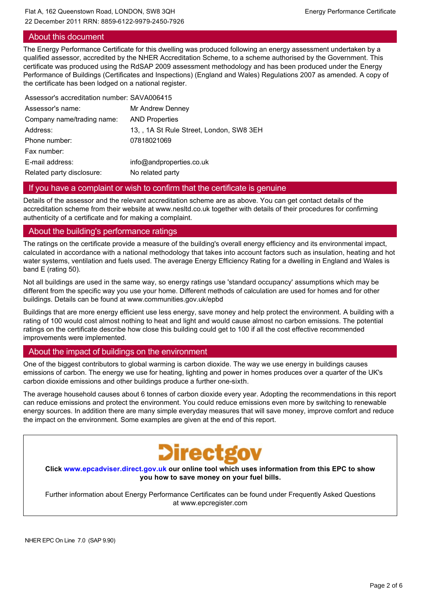#### About this document

The Energy Performance Certificate for this dwelling was produced following an energy assessment undertaken by a qualified assessor, accredited by the NHER Accreditation Scheme, to a scheme authorised by the Government. This certificate was produced using the RdSAP 2009 assessment methodology and has been produced under the Energy Performance of Buildings (Certificates and Inspections) (England and Wales) Regulations 2007 as amended. A copy of the certificate has been lodged on a national register.

| Assessor's accreditation number: SAVA006415 |                                        |
|---------------------------------------------|----------------------------------------|
| Assessor's name:                            | Mr Andrew Denney                       |
| Company name/trading name:                  | <b>AND Properties</b>                  |
| Address:                                    | 13, 1A St Rule Street, London, SW8 3EH |
| Phone number:                               | 07818021069                            |
| Fax number:                                 |                                        |
| E-mail address:                             | info@andproperties.co.uk               |
| Related party disclosure:                   | No related party                       |
|                                             |                                        |

# If you have a complaint or wish to confirm that the certificate is genuine

Details of the assessor and the relevant accreditation scheme are as above. You can get contact details of the accreditation scheme from their website at www.nesltd.co.uk together with details of their procedures for confirming authenticity of a certificate and for making a complaint.

# About the building's performance ratings

The ratings on the certificate provide a measure of the building's overall energy efficiency and its environmental impact, calculated in accordance with a national methodology that takes into account factors such as insulation, heating and hot water systems, ventilation and fuels used. The average Energy Efficiency Rating for a dwelling in England and Wales is band E (rating 50).

Not all buildings are used in the same way, so energy ratings use 'standard occupancy' assumptions which may be different from the specific way you use your home. Different methods of calculation are used for homes and for other buildings. Details can be found at www.communities.gov.uk/epbd

Buildings that are more energy efficient use less energy, save money and help protect the environment. A building with a rating of 100 would cost almost nothing to heat and light and would cause almost no carbon emissions. The potential ratings on the certificate describe how close this building could get to 100 if all the cost effective recommended improvements were implemented.

### About the impact of buildings on the environment

One of the biggest contributors to global warming is carbon dioxide. The way we use energy in buildings causes emissions of carbon. The energy we use for heating, lighting and power in homes produces over a quarter of the UK's carbon dioxide emissions and other buildings produce a further onesixth.

The average household causes about 6 tonnes of carbon dioxide every year. Adopting the recommendations in this report can reduce emissions and protect the environment. You could reduce emissions even more by switching to renewable energy sources. In addition there are many simple everyday measures that will save money, improve comfort and reduce the impact on the environment. Some examples are given at the end of this report.



**Click www.epcadviser.direct.gov.uk our online tool which uses information from this EPC to show you how to save money on your fuel bills.**

Further information about Energy Performance Certificates can be found under Frequently Asked Questions at www.epcregister.com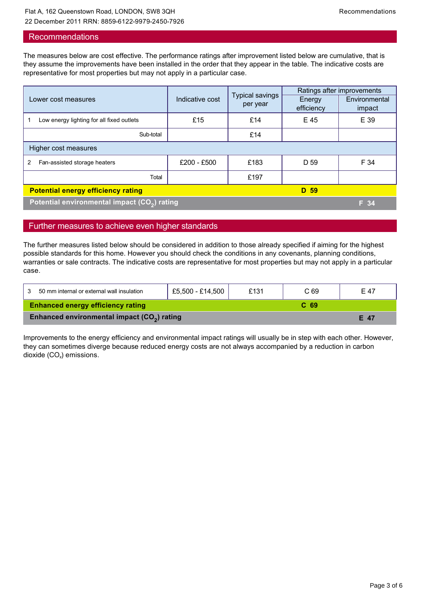#### **Recommendations**

The measures below are cost effective. The performance ratings after improvement listed below are cumulative, that is they assume the improvements have been installed in the order that they appear in the table. The indicative costs are representative for most properties but may not apply in a particular case.

| Lower cost measures                                      | Indicative cost | <b>Typical savings</b><br>per year | Ratings after improvements |               |  |
|----------------------------------------------------------|-----------------|------------------------------------|----------------------------|---------------|--|
|                                                          |                 |                                    | Energy                     | Environmental |  |
|                                                          |                 |                                    | efficiency                 | impact        |  |
| Low energy lighting for all fixed outlets                | £15             | £14                                | E 45                       | E 39          |  |
| Sub-total                                                |                 | £14                                |                            |               |  |
| Higher cost measures                                     |                 |                                    |                            |               |  |
| Fan-assisted storage heaters<br>2                        | £200 - £500     | £183                               | D 59                       | F 34          |  |
| Total                                                    |                 | £197                               |                            |               |  |
| <b>Potential energy efficiency rating</b><br>D 59        |                 |                                    |                            |               |  |
| Potential environmental impact (CO <sub>2</sub> ) rating |                 |                                    |                            | F 34          |  |

### Further measures to achieve even higher standards

The further measures listed below should be considered in addition to those already specified if aiming for the highest possible standards for this home. However you should check the conditions in any covenants, planning conditions, warranties or sale contracts. The indicative costs are representative for most properties but may not apply in a particular case.

| 50 mm internal or external wall insulation                   | £5,500 - £14,500 | £131 | C 69 | F 47 |
|--------------------------------------------------------------|------------------|------|------|------|
| <b>Enhanced energy efficiency rating</b><br>C <sub>69</sub>  |                  |      |      |      |
| <b>Enhanced environmental impact (CO<sub>2</sub>) rating</b> |                  |      |      | E 47 |

Improvements to the energy efficiency and environmental impact ratings will usually be in step with each other. However, they can sometimes diverge because reduced energy costs are not always accompanied by a reduction in carbon dioxide  $(CO<sub>2</sub>)$  emissions.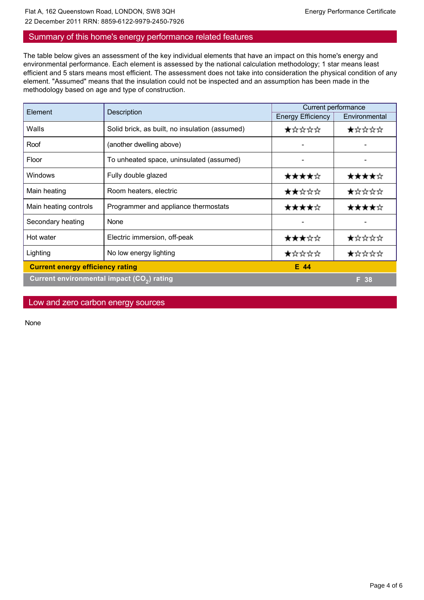## Flat A, 162 Queenstown Road, LONDON, SW8 3QH Energy Performance Certificate 22 December 2011 RRN: 8859-6122-9979-2450-7926

# Summary of this home's energy performance related features

The table below gives an assessment of the key individual elements that have an impact on this home's energy and environmental performance. Each element is assessed by the national calculation methodology; 1 star means least efficient and 5 stars means most efficient. The assessment does not take into consideration the physical condition of any element. "Assumed" means that the insulation could not be inspected and an assumption has been made in the methodology based on age and type of construction.

| Element                                                |                                                | Current performance      |               |
|--------------------------------------------------------|------------------------------------------------|--------------------------|---------------|
|                                                        | Description                                    | <b>Energy Efficiency</b> | Environmental |
| Walls                                                  | Solid brick, as built, no insulation (assumed) | ★☆☆☆☆                    | ★☆☆☆☆         |
| Roof                                                   | (another dwelling above)                       |                          |               |
| Floor                                                  | To unheated space, uninsulated (assumed)       |                          |               |
| Windows                                                | Fully double glazed                            | ★★★★☆                    | *****         |
| Main heating                                           | Room heaters, electric                         | ★★☆☆☆                    | ★☆☆☆☆         |
| Main heating controls                                  | Programmer and appliance thermostats           | ★★★★☆                    | ★★★★☆         |
| Secondary heating                                      | None                                           |                          |               |
| Hot water                                              | Electric immersion, off-peak                   | ★★★☆☆                    | ★☆☆☆☆         |
| Lighting                                               | No low energy lighting                         | ★☆☆☆☆                    | ★☆☆☆☆         |
| <b>Current energy efficiency rating</b>                |                                                | E 44                     |               |
| Current environmental impact (CO <sub>2</sub> ) rating |                                                |                          | F 38          |

Low and zero carbon energy sources

None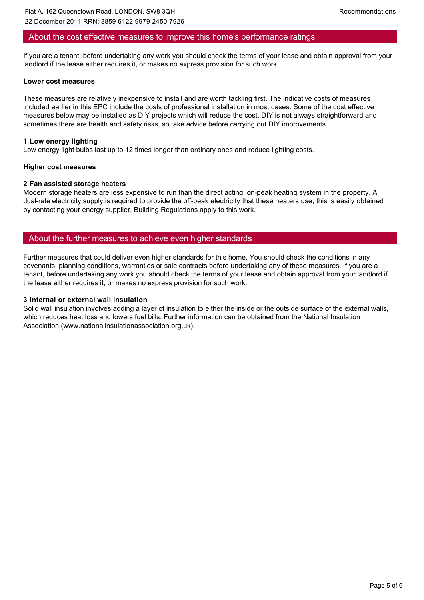#### About the cost effective measures to improve this home's performance ratings

If you are a tenant, before undertaking any work you should check the terms of your lease and obtain approval from your landlord if the lease either requires it, or makes no express provision for such work.

#### **Lower cost measures**

These measures are relatively inexpensive to install and are worth tackling first. The indicative costs of measures included earlier in this EPC include the costs of professional installation in most cases. Some of the cost effective measures below may be installed as DIY projects which will reduce the cost. DIY is not always straightforward and sometimes there are health and safety risks, so take advice before carrying out DIY improvements.

#### **1 Low energy lighting**

Low energy light bulbs last up to 12 times longer than ordinary ones and reduce lighting costs.

#### **Higher cost measures**

#### **2 Fan assisted storage heaters**

Modern storage heaters are less expensive to run than the direct acting, on-peak heating system in the property. A dual-rate electricity supply is required to provide the off-peak electricity that these heaters use; this is easily obtained by contacting your energy supplier. Building Regulations apply to this work.

#### About the further measures to achieve even higher standards

Further measures that could deliver even higher standards for this home. You should check the conditions in any covenants, planning conditions, warranties or sale contracts before undertaking any of these measures. If you are a tenant, before undertaking any work you should check the terms of your lease and obtain approval from your landlord if the lease either requires it, or makes no express provision for such work.

#### **3 Internal or external wall insulation**

Solid wall insulation involves adding a layer of insulation to either the inside or the outside surface of the external walls, which reduces heat loss and lowers fuel bills. Further information can be obtained from the National Insulation Association (www.nationalinsulationassociation.org.uk).